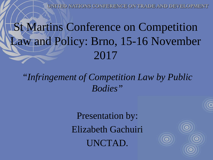UNITED NATIONS CONFERENCE ON TRADE AND DEVELOPMENT

## St Martins Conference on Competition Law and Policy: Brno, 15-16 November 2017

*"Infringement of Competition Law by Public Bodies"*

> Presentation by: Elizabeth Gachuiri UNCTAD.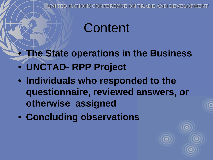UNITED NATIONS CONFERENCE ON TRADE AND DEVELOPMENT

## **Content**

• **The State operations in the Business**

- **UNCTAD- RPP Project**
- **Individuals who responded to the questionnaire, reviewed answers, or otherwise assigned**
- **Concluding observations**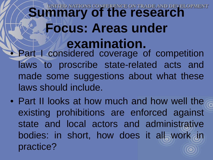### **Summary of the research Focus: Areas under examination.** Part I considered coverage of competition laws to proscribe state-related acts and made some suggestions about what these laws should include.

• Part II looks at how much and how well the existing prohibitions are enforced against state and local actors and administrative bodies: in short, how does it all work in practice?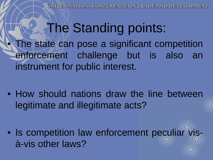NATIONS CONFERENCE ON TRADE AND DEVELO

**The Standing points:** 

The state can pose a significant competition enforcement challenge but is also an instrument for public interest.

• How should nations draw the line between legitimate and illegitimate acts?

• Is competition law enforcement peculiar visà-vis other laws?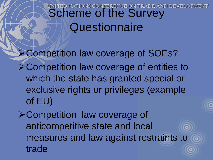# UNITED NATIONS CONFERENCE ON TRADE AND SCHEME OF the Survey **Questionnaire**

**≻Competition law coverage of SOEs?** Competition law coverage of entities to which the state has granted special or exclusive rights or privileges (example of EU)

Competition law coverage of anticompetitive state and local measures and law against restraints to trade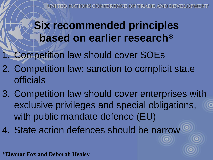$\boldsymbol{\circ}$ 

#### **Six recommended principles based on earlier research\***

**Competition law should cover SOEs** 

- 2. Competition law: sanction to complicit state officials
- 3. Competition law should cover enterprises with exclusive privileges and special obligations, with public mandate defence (EU)
- 4. State action defences should be narrow

\***Eleanor Fox and Deborah Healey**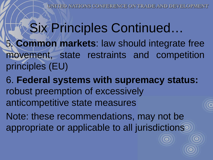# Six Principles Continued…

- 5. **Common markets**: law should integrate free movement, state restraints and competition principles (EU)
- 6. **Federal systems with supremacy status:**  robust preemption of excessively anticompetitive state measures
- Note: these recommendations, may not be appropriate or applicable to all jurisdictions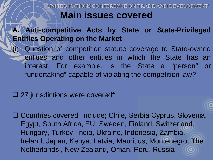UNITED NATIONS CONFERENCE ON TRADE AND DEVELOP **Main issues covered**

#### **A. Anti-competitive Acts by State or State-Privileged Entities Operating on the Market**

(i) Question of competition statute coverage to State-owned entities and other entities in which the State has an interest. For example, is the State a "person" or "undertaking" capable of violating the competition law?

#### □ 27 jurisdictions were covered\*

□ Countries covered include; Chile, Serbia Cyprus, Slovenia, Egypt, South Africa, EU, Sweden, Finland, Switzerland, Hungary, Turkey, India, Ukraine, Indonesia, Zambia, Ireland, Japan, Kenya, Latvia, Mauritius, Montenegro, The Netherlands , New Zealand, Oman, Peru, Russia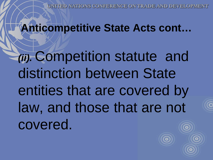### **Anticompetitive State Acts cont…**

*(ii).* Competition statute and distinction between State entities that are covered by law, and those that are not covered.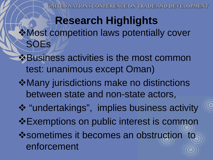UNITED NATIONS CONFERENCE ON TRADE AND DEVEL

#### **Research Highlights** Most competition laws potentially cover SOEs

- **Business activities is the most common** test: unanimous except Oman)
- **\*Many jurisdictions make no distinctions** between state and non-state actors,
- "undertakings", implies business activity  $\triangle$ **Exemptions on public interest is common**
- ❖ sometimes it becomes an obstruction to enforcement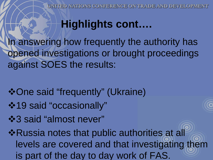## **Highlights cont….**

In answering how frequently the authority has opened investigations or brought proceedings against SOES the results:

- One said "frequently" (Ukraine)
- 19 said "occasionally"
- **\*3 said "almost never"**

**\*Russia notes that public authorities at all** levels are covered and that investigating them is part of the day to day work of FAS.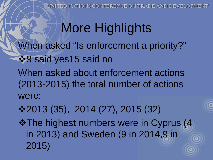UNITED NATIONS CONFERENCE ON TRADE AND DEVELOPM

# More Highlights

When asked "Is enforcement a priority?"

 $•9$  **said yes15 said no** 

When asked about enforcement actions (2013-2015) the total number of actions were:

2013 (35), 2014 (27), 2015 (32)

**\*The highest numbers were in Cyprus (4** in 2013) and Sweden (9 in 2014,9 in 2015)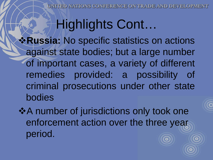# Highlights Cont…

**\*Russia:** No specific statistics on actions against state bodies; but a large number of important cases, a variety of different remedies provided: a possibility of criminal prosecutions under other state bodies

 $\triangle$  **A number of jurisdictions only took one** enforcement action over the three year period.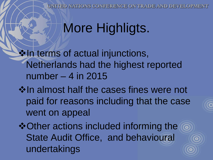UNITED NATIONS CONFERENCE ON TRADE AND DEVELO

 $\odot$ 

# More Highligts.

 $\cdot$  in terms of actual injunctions, Netherlands had the highest reported number – 4 in 2015

 $\diamond$  **In almost half the cases fines were not** paid for reasons including that the case went on appeal

 $\triangle$ **Other actions included informing the** State Audit Office, and behavioural undertakings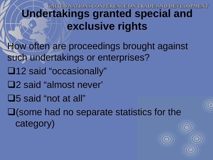**FERENCE ON** 

## **Undertakings granted special and exclusive rights**

How often are proceedings brought against such undertakings or enterprises?

- □12 said "occasionally"
- 2 said "almost never'
- 5 said "not at all"

 $\Box$  (some had no separate statistics for the category)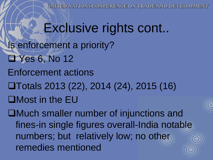UNITED NATIONS CONFERENCE ON TRADE AND DEVELOP

**Exclusive rights cont..** Is enforcement a priority? **Ellenside 6, No 12** Enforcement actions Totals 2013 (22), 2014 (24), 2015 (16) Most in the EU

Much smaller number of injunctions and fines-in single figures overall-India notable numbers; but relatively low; no other remedies mentioned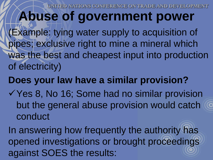JFERENCE ON TR

# **Abuse of government power**

(Example: tying water supply to acquisition of pipes; exclusive right to mine a mineral which was the best and cheapest input into production of electricity)

#### **Does your law have a similar provision?**

√ Yes 8, No 16; Some had no similar provision but the general abuse provision would catch conduct

In answering how frequently the authority has opened investigations or brought proceedings against SOES the results: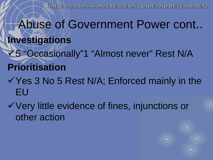- Abuse of Government Power cont.. **Investigations** 5 "Occasionally"1 "Almost never" Rest N/A **Prioritisation**
- $\checkmark$  Yes 3 No 5 Rest N/A; Enforced mainly in the EU
- Very little evidence of fines, injunctions or other action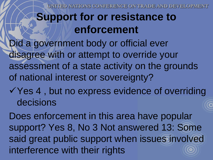**CONFERENCE ON TRA** 

#### **Support for or resistance to enforcement**

Did a government body or official ever disagree with or attempt to override your assessment of a state activity on the grounds of national interest or sovereignty?

 $\checkmark$  Yes 4, but no express evidence of overriding decisions

Does enforcement in this area have popular support? Yes 8, No 3 Not answered 13: Some said great public support when issues involved interference with their rights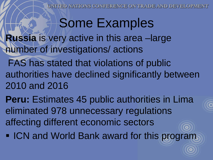UNITED NATIONS CONFERENCE ON TRADE AND DEVELO

# Some Examples

**Russia** is very active in this area –large number of investigations/ actions

FAS has stated that violations of public authorities have declined significantly between 2010 and 2016

**Peru:** Estimates 45 public authorities in Lima eliminated 978 unnecessary regulations affecting different economic sectors  $\bullet$ 

**ICN and World Bank award for this program**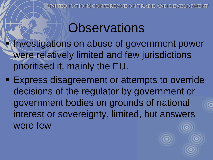# **Observations**

 Investigations on abuse of government power were relatively limited and few jurisdictions prioritised it, mainly the EU.

**Express disagreement or attempts to override** decisions of the regulator by government or government bodies on grounds of national interest or sovereignty, limited, but answers were few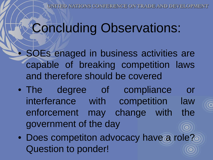# Concluding Observations:

• SOEs enaged in business activities are capable of breaking competition laws and therefore should be covered

- The degree of compliance or interferance with competition law enforcement may change with the government of the day
- Does competiton advocacy have a role? Question to ponder!